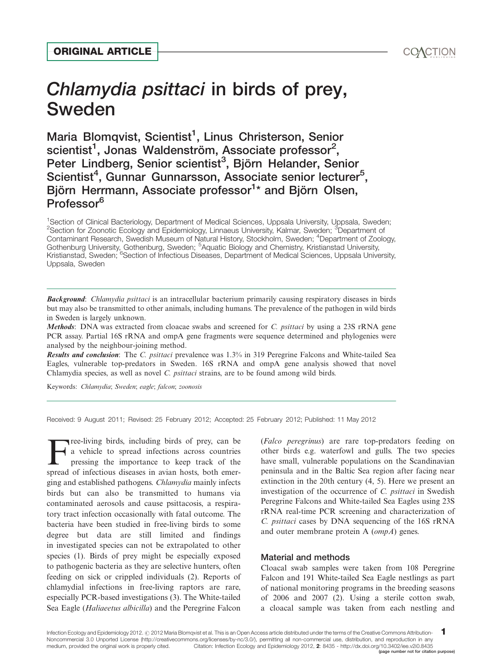# Chlamydia psittaci in birds of prey, Sweden ORIGINAL ARTICLE<br>Chlamydia psittaci in birds of prey,<br>Sweden<br>Maria Blomovist Scientist<sup>1</sup> Linus Christerson Senior

Maria Blomqvist, Scientist<sup>1</sup>, Linus Christerson, Senior scientist<sup>1</sup>, Jonas Waldenström, Associate professor<sup>2</sup>, Peter Lindberg, Senior scientist<sup>3</sup>, Björn Helander, Senior Scientist<sup>4</sup>, Gunnar Gunnarsson, Associate senior lecturer<sup>5</sup>, Björn Herrmann, Associate professor<sup>1</sup>[\\*](#page-3-0) and Björn Olsen, Professor<sup>6</sup>

<sup>1</sup>Section of Clinical Bacteriology, Department of Medical Sciences, Uppsala University, Uppsala, Sweden; <sup>2</sup>Section for Zoonotic Ecology and Epidemiology, Linnaeus University, Kalmar, Sweden; <sup>3</sup>Department of Contaminant Research, Swedish Museum of Natural History, Stockholm, Sweden; <sup>4</sup> Department of Zoology, Gothenburg University, Gothenburg, Sweden; <sup>5</sup>Aquatic Biology and Chemistry, Kristianstad University, Kristianstad, Sweden, <sup>6</sup>Section of Infectious Diseases, Department of Medical Sciences, Uppsala University, Uppsala, Sweden

Background: Chlamydia psittaci is an intracellular bacterium primarily causing respiratory diseases in birds but may also be transmitted to other animals, including humans. The prevalence of the pathogen in wild birds in Sweden is largely unknown.

Methods: DNA was extracted from cloacae swabs and screened for C. psittaci by using a 23S rRNA gene PCR assay. Partial 16S rRNA and ompA gene fragments were sequence determined and phylogenies were analysed by the neighbour-joining method.

Results and conclusion: The C. psittaci prevalence was 1.3% in 319 Peregrine Falcons and White-tailed Sea Eagles, vulnerable top-predators in Sweden. 16S rRNA and ompA gene analysis showed that novel Chlamydia species, as well as novel C. psittaci strains, are to be found among wild birds.

Keywords: Chlamydia; Sweden; eagle; falcon; zoonosis

Received: 9 August 2011; Revised: 25 February 2012; Accepted: 25 February 2012; Published: 11 May 2012

Free-living birds, including birds of prey, can be<br>a vehicle to spread infections across countries<br>pressing the importance to keep track of the<br>spread of infectious diseases in winn bosts, both emer a vehicle to spread infections across countries pressing the importance to keep track of the spread of infectious diseases in avian hosts, both emerging and established pathogens. Chlamydia mainly infects birds but can also be transmitted to humans via contaminated aerosols and cause psittacosis, a respiratory tract infection occasionally with fatal outcome. The bacteria have been studied in free-living birds to some degree but data are still limited and findings in investigated species can not be extrapolated to other species (1). Birds of prey might be especially exposed to pathogenic bacteria as they are selective hunters, often feeding on sick or crippled individuals (2). Reports of chlamydial infections in free-living raptors are rare, especially PCR-based investigations (3). The White-tailed Sea Eagle (Haliaeetus albicilla) and the Peregrine Falcon (Falco peregrinus) are rare top-predators feeding on other birds e.g. waterfowl and gulls. The two species have small, vulnerable populations on the Scandinavian peninsula and in the Baltic Sea region after facing near extinction in the 20th century (4, 5). Here we present an investigation of the occurrence of C. psittaci in Swedish Peregrine Falcons and White-tailed Sea Eagles using 23S rRNA real-time PCR screening and characterization of C. psittaci cases by DNA sequencing of the 16S rRNA and outer membrane protein A (ompA) genes.

## Material and methods

Cloacal swab samples were taken from 108 Peregrine Falcon and 191 White-tailed Sea Eagle nestlings as part of national monitoring programs in the breeding seasons of 2006 and 2007 (2). Using a sterile cotton swab, a cloacal sample was taken from each nestling and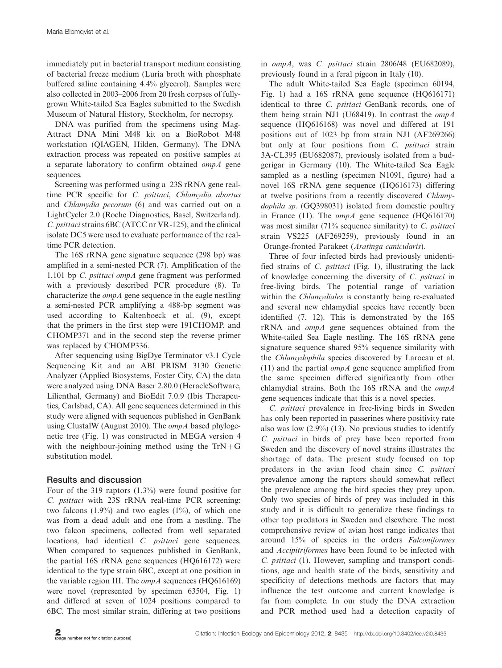immediately put in bacterial transport medium consisting of bacterial freeze medium (Luria broth with phosphate buffered saline containing 4.4% glycerol). Samples were also collected in 2003-2006 from 20 fresh corpses of fullygrown White-tailed Sea Eagles submitted to the Swedish Museum of Natural History, Stockholm, for necropsy.

DNA was purified from the specimens using Mag-Attract DNA Mini M48 kit on a BioRobot M48 workstation (QIAGEN, Hilden, Germany). The DNA extraction process was repeated on positive samples at a separate laboratory to confirm obtained ompA gene sequences.

Screening was performed using a 23S rRNA gene realtime PCR specific for C. psittaci, Chlamydia abortus and Chlamydia pecorum (6) and was carried out on a LightCycler 2.0 (Roche Diagnostics, Basel, Switzerland). C. psittacistrains 6BC (ATCC nr VR-125), and the clinical isolate DC5 were used to evaluate performance of the realtime PCR detection.

The 16S rRNA gene signature sequence (298 bp) was amplified in a semi-nested PCR (7). Amplification of the 1,101 bp C. psittaci ompA gene fragment was performed with a previously described PCR procedure (8). To characterize the  $ompA$  gene sequence in the eagle nestling a semi-nested PCR amplifying a 488-bp segment was used according to Kaltenboeck et al. (9), except that the primers in the first step were 191CHOMP, and CHOMP371 and in the second step the reverse primer was replaced by CHOMP336.

After sequencing using BigDye Terminator v3.1 Cycle Sequencing Kit and an ABI PRISM 3130 Genetic Analyzer (Applied Biosystems, Foster City, CA) the data were analyzed using DNA Baser 2.80.0 (HeracleSoftware, Lilienthal, Germany) and BioEdit 7.0.9 (Ibis Therapeutics, Carlsbad, CA). All gene sequences determined in this study were aligned with sequences published in GenBank using ClustalW (August 2010). The *ompA* based phylogenetic tree (Fig. 1) was constructed in MEGA version 4 with the neighbour-joining method using the  $TrN+G$ substitution model.

# Results and discussion

Four of the 319 raptors (1.3%) were found positive for C. psittaci with 23S rRNA real-time PCR screening: two falcons  $(1.9\%)$  and two eagles  $(1\%)$ , of which one was from a dead adult and one from a nestling. The two falcon specimens, collected from well separated locations, had identical C. *psittaci* gene sequences. When compared to sequences published in GenBank, the partial 16S rRNA gene sequences (HQ616172) were identical to the type strain 6BC, except at one position in the variable region III. The  $ompA$  sequences (HQ616169) were novel (represented by specimen 63504, Fig. 1) and differed at seven of 1024 positions compared to 6BC. The most similar strain, differing at two positions

in ompA, was C. psittaci strain 2806/48 (EU682089), previously found in a feral pigeon in Italy (10).

The adult White-tailed Sea Eagle (specimen 60194, Fig. 1) had a 16S rRNA gene sequence (HQ616171) identical to three C. psittaci GenBank records, one of them being strain NJ1 (U68419). In contrast the  $ompA$ sequence (HQ616168) was novel and differed at 191 positions out of 1023 bp from strain NJ1 (AF269266) but only at four positions from C. psittaci strain 3A-CL395 (EU682087), previously isolated from a budgerigar in Germany (10). The White-tailed Sea Eagle sampled as a nestling (specimen N1091, figure) had a novel 16S rRNA gene sequence (HQ616173) differing at twelve positions from a recently discovered Chlamydophila sp. (GQ398031) isolated from domestic poultry in France (11). The  $ompA$  gene sequence (HQ616170) was most similar (71% sequence similarity) to C. psittaci strain VS225 (AF269259), previously found in an Orange-fronted Parakeet (Aratinga canicularis).

Three of four infected birds had previously unidentified strains of C. psittaci (Fig. 1), illustrating the lack of knowledge concerning the diversity of C. psittaci in free-living birds. The potential range of variation within the Chlamydiales is constantly being re-evaluated and several new chlamydial species have recently been identified (7, 12). This is demonstrated by the 16S rRNA and ompA gene sequences obtained from the White-tailed Sea Eagle nestling. The 16S rRNA gene signature sequence shared 95% sequence similarity with the Chlamydophila species discovered by Larocau et al. (11) and the partial  $ompA$  gene sequence amplified from the same specimen differed significantly from other chlamydial strains. Both the 16S rRNA and the ompA gene sequences indicate that this is a novel species.

C. psittaci prevalence in free-living birds in Sweden has only been reported in passerines where positivity rate also was low  $(2.9\%)$  (13). No previous studies to identify C. psittaci in birds of prey have been reported from Sweden and the discovery of novel strains illustrates the shortage of data. The present study focused on top predators in the avian food chain since C. psittaci prevalence among the raptors should somewhat reflect the prevalence among the bird species they prey upon. Only two species of birds of prey was included in this study and it is difficult to generalize these findings to other top predators in Sweden and elsewhere. The most comprehensive review of avian host range indicates that around 15% of species in the orders Falconiformes and Accipitriformes have been found to be infected with C. psittaci (1). However, sampling and transport conditions, age and health state of the birds, sensitivity and specificity of detections methods are factors that may influence the test outcome and current knowledge is far from complete. In our study the DNA extraction and PCR method used had a detection capacity of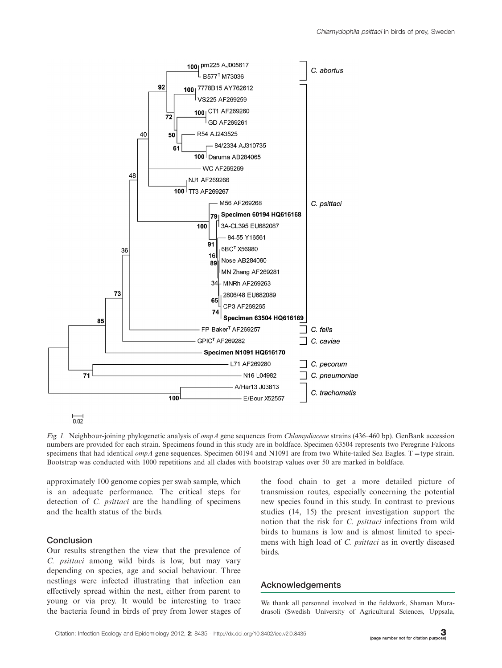

ᇟ

Fig. 1. Neighbour-joining phylogenetic analysis of *ompA* gene sequences from Chlamydiaceae strains (436–460 bp). GenBank accession numbers are provided for each strain. Specimens found in this study are in boldface. Specimen 63504 represents two Peregrine Falcons specimens that had identical  $ompA$  gene sequences. Specimen 60194 and N1091 are from two White-tailed Sea Eagles. T = type strain. Bootstrap was conducted with 1000 repetitions and all clades with bootstrap values over 50 are marked in boldface.

approximately 100 genome copies per swab sample, which is an adequate performance. The critical steps for detection of C. psittaci are the handling of specimens and the health status of the birds.

### **Conclusion**

Our results strengthen the view that the prevalence of C. psittaci among wild birds is low, but may vary depending on species, age and social behaviour. Three nestlings were infected illustrating that infection can effectively spread within the nest, either from parent to young or via prey. It would be interesting to trace the bacteria found in birds of prey from lower stages of

the food chain to get a more detailed picture of transmission routes, especially concerning the potential new species found in this study. In contrast to previous studies (14, 15) the present investigation support the notion that the risk for C. psittaci infections from wild birds to humans is low and is almost limited to specimens with high load of C. psittaci as in overtly diseased birds.

## Acknowledgements

We thank all personnel involved in the fieldwork, Shaman Muradrasoli (Swedish University of Agricultural Sciences, Uppsala,